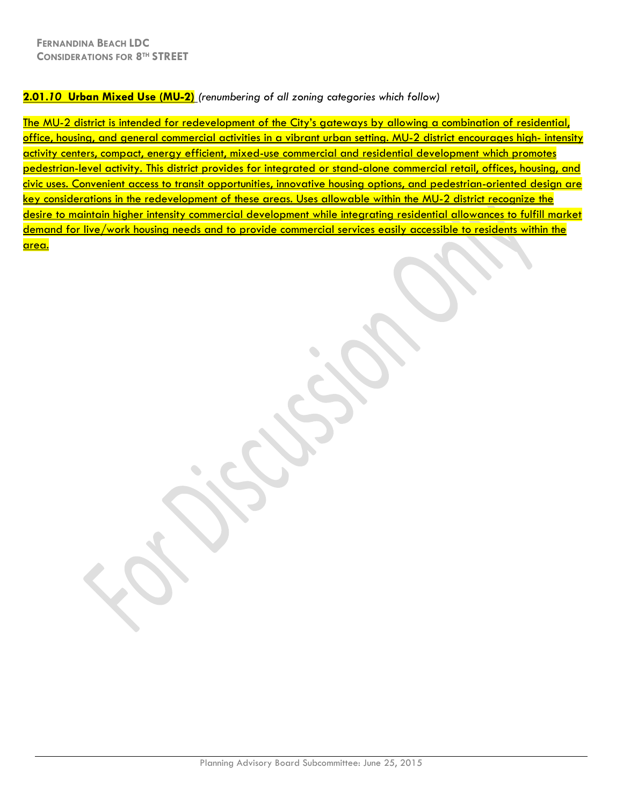## **2.01.***10* **Urban Mixed Use (MU-2)** *(renumbering of all zoning categories which follow)*

The MU-2 district is intended for redevelopment of the City's gateways by allowing a combination of residential, office, housing, and general commercial activities in a vibrant urban setting. MU-2 district encourages high- intensity activity centers, compact, energy efficient, mixed-use commercial and residential development which promotes pedestrian-level activity. This district provides for integrated or stand-alone commercial retail, offices, housing, and civic uses. Convenient access to transit opportunities, innovative housing options, and pedestrian-oriented design are key considerations in the redevelopment of these areas. Uses allowable within the MU-2 district recognize the desire to maintain higher intensity commercial development while integrating residential allowances to fulfill market demand for live/work housing needs and to provide commercial services easily accessible to residents within the area.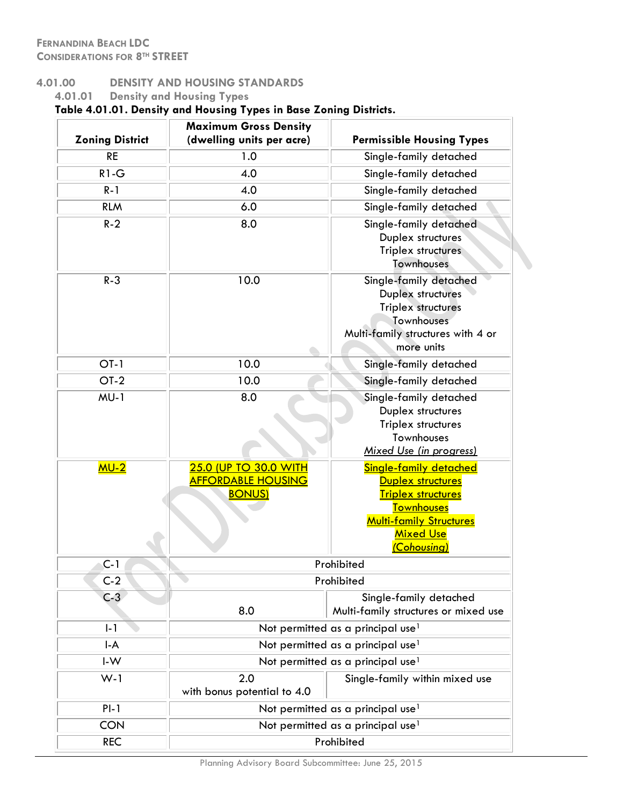# **4.01.00 DENSITY AND HOUSING STANDARDS**

# **4.01.01 Density and Housing Types Table 4.01.01. Density and Housing Types in Base Zoning Districts.**

|                        | <b>Maximum Gross Density</b>                                               |                                                                                                                                                                           |
|------------------------|----------------------------------------------------------------------------|---------------------------------------------------------------------------------------------------------------------------------------------------------------------------|
| <b>Zoning District</b> | (dwelling units per acre)                                                  | <b>Permissible Housing Types</b>                                                                                                                                          |
| <b>RE</b>              | 1.0                                                                        | Single-family detached                                                                                                                                                    |
| $R1-G$                 | 4.0                                                                        | Single-family detached                                                                                                                                                    |
| $R - 1$                | 4.0                                                                        | Single-family detached                                                                                                                                                    |
| <b>RLM</b>             | 6.0                                                                        | Single-family detached                                                                                                                                                    |
| $R-2$                  | 8.0                                                                        | Single-family detached<br>Duplex structures<br>Triplex structures<br>Townhouses                                                                                           |
| $R - 3$                | 10.0                                                                       | Single-family detached<br>Duplex structures<br>Triplex structures<br>Townhouses<br>Multi-family structures with 4 or<br>more units                                        |
| $OT-1$                 | 10.0                                                                       | Single-family detached                                                                                                                                                    |
| $OT-2$                 | 10.0                                                                       | Single-family detached                                                                                                                                                    |
| $MU-1$                 | 8.0                                                                        | Single-family detached<br>Duplex structures<br>Triplex structures<br>Townhouses<br>Mixed Use (in progress)                                                                |
| MU-2                   | <b>25.0 (UP TO 30.0 WITH</b><br><u>AFFORDABLE HOUSING</u><br><b>BONUS)</b> | Single-family detached<br><b>Duplex structures</b><br><u>Triplex structures</u><br><b>Townhouses</b><br><b>Multi-family Structures</b><br><b>Mixed Use</b><br>(Cohousing) |
| $C-1$                  |                                                                            | Prohibited                                                                                                                                                                |
| $C-2$                  |                                                                            | Prohibited                                                                                                                                                                |
| $C-3$                  | 8.0                                                                        | Single-family detached<br>Multi-family structures or mixed use                                                                                                            |
| $I - 1$                |                                                                            | Not permitted as a principal use <sup>1</sup>                                                                                                                             |
| $I - A$                |                                                                            | Not permitted as a principal use <sup>1</sup>                                                                                                                             |
| $I-W$                  |                                                                            | Not permitted as a principal use <sup>1</sup>                                                                                                                             |
| $W-1$                  | 2.0<br>with bonus potential to 4.0                                         | Single-family within mixed use                                                                                                                                            |
| $Pl-1$                 |                                                                            | Not permitted as a principal use <sup>1</sup>                                                                                                                             |
| <b>CON</b>             |                                                                            | Not permitted as a principal use <sup>1</sup>                                                                                                                             |
| <b>REC</b>             |                                                                            | Prohibited                                                                                                                                                                |

Planning Advisory Board Subcommittee: June 25, 2015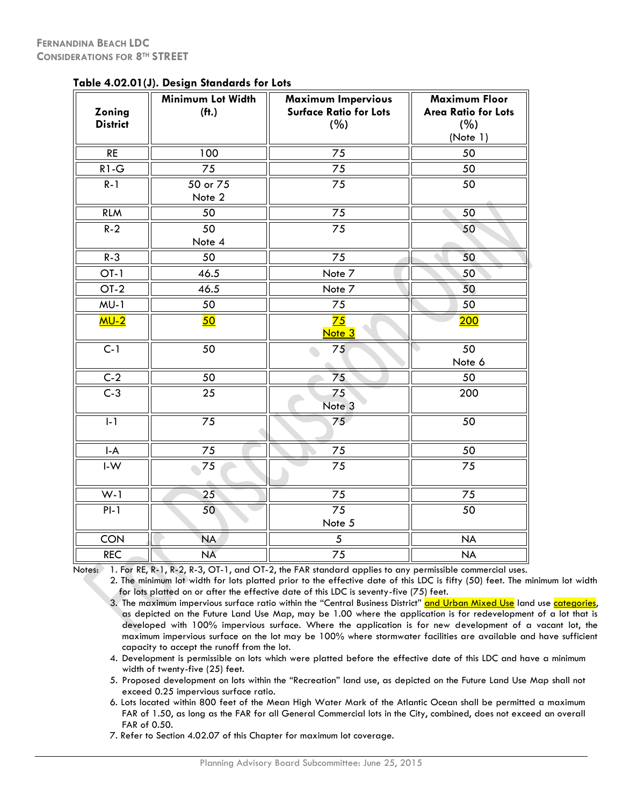| Zoning<br><b>District</b>      | adic 4.02.01 (9). Design bianuarus for Edis<br>Minimum Lot Width<br>(f <sup>†</sup> ) | <b>Maximum Impervious</b><br><b>Surface Ratio for Lots</b><br>(%) | <b>Maximum Floor</b><br><b>Area Ratio for Lots</b><br>(%)<br>(Note 1) |
|--------------------------------|---------------------------------------------------------------------------------------|-------------------------------------------------------------------|-----------------------------------------------------------------------|
| $\mathsf{RE}$                  | 100                                                                                   | 75                                                                | 50                                                                    |
| $R1-G$                         | 75                                                                                    | 75                                                                | 50                                                                    |
| $R-1$                          | 50 or 75<br>Note 2                                                                    | 75                                                                | 50                                                                    |
| <b>RLM</b>                     | 50                                                                                    | 75                                                                | 50                                                                    |
| $R - 2$                        | 50<br>Note 4                                                                          | 75                                                                | 50                                                                    |
| $R - 3$                        | 50                                                                                    | 75                                                                | 50                                                                    |
| $OT-1$                         | 46.5                                                                                  | Note 7                                                            | 50                                                                    |
| $OT-2$                         | 46.5                                                                                  | Note 7                                                            | 50                                                                    |
| $MU-1$                         | 50                                                                                    | 75                                                                | 50                                                                    |
| MU-2                           | 50                                                                                    | 75<br>Note <sub>3</sub>                                           | 200                                                                   |
| $C-1$                          | $\overline{50}$                                                                       | 75                                                                | 50<br>Note 6                                                          |
| $C-2$                          | $\overline{50}$                                                                       | $\overline{75}$                                                   | 50                                                                    |
| $C-3$                          | 25                                                                                    | 75<br>Note <sub>3</sub>                                           | 200                                                                   |
| $\overline{1-1}$               | $\overline{7}5$                                                                       | 75                                                                | 50                                                                    |
| $\mathsf{I}\text{-}\mathsf{A}$ | 75                                                                                    | 75                                                                | 50                                                                    |
| $\mathsf{I}\text{-}\mathsf{W}$ | 75                                                                                    | 75                                                                | 75                                                                    |
| $W-1$                          | 25                                                                                    | $\overline{75}$                                                   | $\overline{75}$                                                       |
| $PI-1$                         | 50 <sup>°</sup>                                                                       | 75<br>Note 5                                                      | 50                                                                    |
| <b>CON</b>                     | <b>NA</b>                                                                             | $\sqrt{5}$                                                        | <b>NA</b>                                                             |
| <b>REC</b>                     | <b>NA</b>                                                                             | 75                                                                | <b>NA</b>                                                             |

**Table 4.02.01(J). Design Standards for Lots**

Notes: 1. For RE, R-1, R-2, R-3, OT-1, and OT-2, the FAR standard applies to any permissible commercial uses.

2. The minimum lot width for lots platted prior to the effective date of this LDC is fifty (50) feet. The minimum lot width for lots platted on or after the effective date of this LDC is seventy-five (75) feet.

3. The maximum impervious surface ratio within the "Central Business District" <mark>and Urban Mixed Use</mark> land use <mark>categories</mark>, as depicted on the Future Land Use Map, may be 1.00 where the application is for redevelopment of a lot that is developed with 100% impervious surface. Where the application is for new development of a vacant lot, the maximum impervious surface on the lot may be 100% where stormwater facilities are available and have sufficient capacity to accept the runoff from the lot.

- 4. Development is permissible on lots which were platted before the effective date of this LDC and have a minimum width of twenty-five (25) feet.
- 5. Proposed development on lots within the "Recreation" land use, as depicted on the Future Land Use Map shall not exceed 0.25 impervious surface ratio.
- 6. Lots located within 800 feet of the Mean High Water Mark of the Atlantic Ocean shall be permitted a maximum FAR of 1.50, as long as the FAR for all General Commercial lots in the City, combined, does not exceed an overall FAR of 0.50.
- 7. Refer to Section 4.02.07 of this Chapter for maximum lot coverage.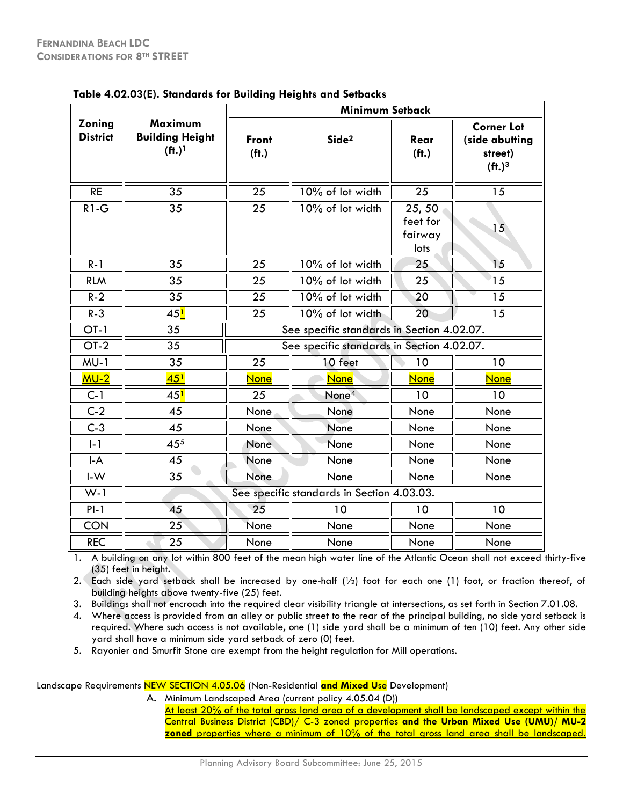|                                | <u>1990 - 192199 - 1931 - 1941 - 1941 - 1941 - 1941 - 1941 - 1941 - 1942 - 194</u> |                            | <b>Minimum Setback</b>                     |                                      |                                                                                   |
|--------------------------------|------------------------------------------------------------------------------------|----------------------------|--------------------------------------------|--------------------------------------|-----------------------------------------------------------------------------------|
| Zoning<br><b>District</b>      | Maximum<br><b>Building Height</b><br>(f <sup>1</sup> ) <sup>1</sup>                | Front<br>(f <sup>†</sup> ) | Side <sup>2</sup>                          | Rear<br>(f <sup>†</sup> )            | <b>Corner Lot</b><br>(side abutting<br>street)<br>(f <sup>t</sup> .) <sup>3</sup> |
| <b>RE</b>                      | 35                                                                                 | $\overline{25}$            | 10% of lot width                           | 25                                   | 15                                                                                |
| $R1-G$                         | $\overline{35}$                                                                    | $\overline{2}5$            | 10% of lot width                           | 25,50<br>feet for<br>fairway<br>lots | 15                                                                                |
| $R - 1$                        | 35                                                                                 | 25                         | 10% of lot width                           | 25                                   | 15                                                                                |
| <b>RLM</b>                     | 35                                                                                 | 25                         | 10% of lot width                           | 25                                   | 15                                                                                |
| $R - 2$                        | 35                                                                                 | 25                         | 10% of lot width                           | 20                                   | 15                                                                                |
| $R - 3$                        | 45 <mark>1</mark>                                                                  | 25                         | 10% of lot width                           | 20                                   | 15                                                                                |
| $OT-1$                         | 35                                                                                 |                            | See specific standards in Section 4.02.07. |                                      |                                                                                   |
| $OT-2$                         | 35                                                                                 |                            | See specific standards in Section 4.02.07. |                                      |                                                                                   |
| $MU-1$                         | 35                                                                                 | 25                         | 10 feet                                    | 10                                   | 10                                                                                |
| $MU-2$                         | 45 <sup>1</sup>                                                                    | <b>None</b>                | None                                       | <b>None</b>                          | <b>None</b>                                                                       |
| $C-1$                          | 45 <mark>1</mark>                                                                  | 25                         | None <sup>4</sup>                          | 10                                   | 10                                                                                |
| $C-2$                          | 45                                                                                 | None                       | None                                       | None                                 | None                                                                              |
| $C-3$                          | 45                                                                                 | None                       | None                                       | None                                 | None                                                                              |
| $l-1$                          | 455                                                                                | None                       | None                                       | None                                 | None                                                                              |
| $\mathsf{I}\text{-}\mathsf{A}$ | 45                                                                                 | None                       | None                                       | None                                 | None                                                                              |
| $I-W$                          | 35                                                                                 | None                       | None                                       | None                                 | None                                                                              |
| $W-1$                          |                                                                                    |                            | See specific standards in Section 4.03.03. |                                      |                                                                                   |
| $PI-1$                         | 45                                                                                 | 25                         | 10                                         | 10                                   | 10                                                                                |
| <b>CON</b>                     | 25                                                                                 | None                       | None                                       | None                                 | None                                                                              |
| <b>REC</b>                     | 25                                                                                 | None                       | None                                       | None                                 | None                                                                              |

| Table 4.02.03(E). Standards for Building Heights and Setbacks |
|---------------------------------------------------------------|
|---------------------------------------------------------------|

1. A building on any lot within 800 feet of the mean high water line of the Atlantic Ocean shall not exceed thirty-five (35) feet in height.

2. Each side yard setback shall be increased by one-half (½) foot for each one (1) foot, or fraction thereof, of building heights above twenty-five (25) feet.

3. Buildings shall not encroach into the required clear visibility triangle at intersections, as set forth in Section 7.01.08.

4. Where access is provided from an alley or public street to the rear of the principal building, no side yard setback is required. Where such access is not available, one (1) side yard shall be a minimum of ten (10) feet. Any other side yard shall have a minimum side yard setback of zero (0) feet.

5. Rayonier and Smurfit Stone are exempt from the height regulation for Mill operations.

Landscape Requirements NEW SECTION 4.05.06 (Non-Residential **and Mixed U**se Development)

A. Minimum Landscaped Area (current policy 4.05.04 (D))

At least 20% of the total gross land area of a development shall be landscaped except within the Central Business District (CBD)/ C-3 zoned properties **and the Urban Mixed Use (UMU)/ MU-2 zoned** properties where a minimum of 10% of the total gross land area shall be landscaped.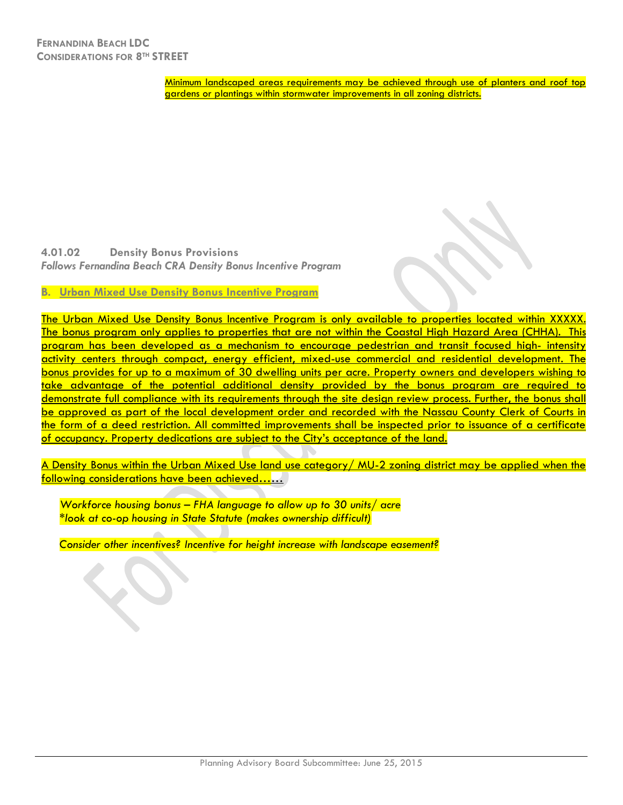Minimum landscaped areas requirements may be achieved through use of planters and roof top gardens or plantings within stormwater improvements in all zoning districts.

**4.01.02 Density Bonus Provisions**  *Follows Fernandina Beach CRA Density Bonus Incentive Program*

**B. Urban Mixed Use Density Bonus Incentive Program**

The Urban Mixed Use Density Bonus Incentive Program is only available to properties located within XXXXX. The bonus program only applies to properties that are not within the Coastal High Hazard Area (CHHA). This program has been developed as a mechanism to encourage pedestrian and transit focused high- intensity activity centers through compact, energy efficient, mixed-use commercial and residential development. The bonus provides for up to a maximum of 30 dwelling units per acre. Property owners and developers wishing to take advantage of the potential additional density provided by the bonus program are required to demonstrate full compliance with its requirements through the site design review process. Further, the bonus shall be approved as part of the local development order and recorded with the Nassau County Clerk of Courts in the form of a deed restriction. All committed improvements shall be inspected prior to issuance of a certificate of occupancy. Property dedications are subject to the City's acceptance of the land.

A Density Bonus within the Urban Mixed Use land use category/ MU-2 zoning district may be applied when the following considerations have been achieved……

*Workforce housing bonus – FHA language to allow up to 30 units/ acre \*look at co-op housing in State Statute (makes ownership difficult)*

*Consider other incentives? Incentive for height increase with landscape easement?*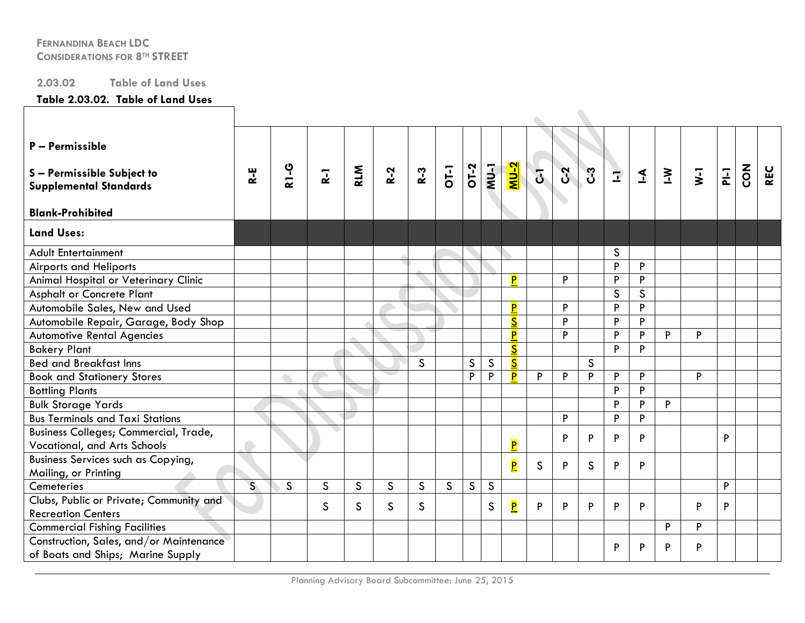# **2.03.02 Table of Land Uses**

#### **Table 2.03.02. Table of Land Uses**

| P - Permissible<br>S-Permissible Subject to<br><b>Supplemental Standards</b><br><b>Blank-Prohibited</b> | $R - E$      | <b>R1-G</b>  | $\overline{R}$ | <b>RLM</b>  | $R-2$        | $R-3$        | OT-1         | $OT-2$       | r-nw         | $NU-2$                  | $\overline{d}$ | C <sub>2</sub> | C <sub>3</sub> | $\mathbf{r}$ | $\leq$       | $\geq$ | $\overline{y}$ | $P\vdash$ | $\mathbf{z}_{\mathbf{0}}$ | <b>REC</b> |
|---------------------------------------------------------------------------------------------------------|--------------|--------------|----------------|-------------|--------------|--------------|--------------|--------------|--------------|-------------------------|----------------|----------------|----------------|--------------|--------------|--------|----------------|-----------|---------------------------|------------|
| <b>Land Uses:</b>                                                                                       |              |              |                |             |              |              |              |              |              |                         |                |                |                |              |              |        |                |           |                           |            |
| <b>Adult Entertainment</b>                                                                              |              |              |                |             |              |              |              |              |              |                         |                |                |                | S            |              |        |                |           |                           |            |
| <b>Airports and Heliports</b>                                                                           |              |              |                |             |              |              |              |              |              |                         |                |                |                | P            | P            |        |                |           |                           |            |
| Animal Hospital or Veterinary Clinic                                                                    |              |              |                |             |              |              |              |              |              | P                       |                | P              |                | P            | P            |        |                |           |                           |            |
| <b>Asphalt or Concrete Plant</b>                                                                        |              |              |                |             |              |              |              |              |              |                         |                |                |                | S            | $\mathsf{S}$ |        |                |           |                           |            |
| Automobile Sales, New and Used                                                                          |              |              |                |             |              |              |              |              |              | P                       |                | P              |                | P            | P            |        |                |           |                           |            |
| Automobile Repair, Garage, Body Shop                                                                    |              |              |                |             |              |              |              |              |              | $\overline{\mathsf{S}}$ |                | P              |                | P            | P            |        |                |           |                           |            |
| <b>Automotive Rental Agencies</b>                                                                       |              |              |                |             |              |              |              |              |              | P                       |                | P              |                | P            | P            | P      | P              |           |                           |            |
| <b>Bakery Plant</b>                                                                                     |              |              |                |             |              |              |              |              |              | $\overline{\mathsf{S}}$ |                |                |                | P            | P            |        |                |           |                           |            |
| <b>Bed and Breakfast Inns</b>                                                                           |              |              |                |             |              | $\mathsf{S}$ |              | $\mathsf{S}$ | $\mathsf{S}$ | $\overline{\mathsf{s}}$ |                |                | $\mathsf{S}$   |              |              |        |                |           |                           |            |
| <b>Book and Stationery Stores</b>                                                                       |              |              |                |             |              |              |              | P            | P            | P                       | P              | P              | P              | P            | P            |        | P              |           |                           |            |
| <b>Bottling Plants</b>                                                                                  |              |              |                |             |              |              |              |              |              |                         |                |                |                | P            | P            |        |                |           |                           |            |
| <b>Bulk Storage Yards</b>                                                                               |              |              |                |             |              |              |              |              |              |                         |                |                |                | P            | P            | P      |                |           |                           |            |
| <b>Bus Terminals and Taxi Stations</b>                                                                  |              |              |                |             |              |              |              |              |              |                         |                | P              |                | P            | P            |        |                |           |                           |            |
| Business Colleges; Commercial, Trade,<br>Vocational, and Arts Schools                                   | $\bullet$    |              |                |             |              |              |              |              |              | P                       |                | P              | P              | P            | P            |        |                | P         |                           |            |
| Business Services such as Copying,<br>Mailing, or Printing                                              |              |              |                |             |              |              |              |              |              | $\overline{\mathsf{P}}$ | $\mathsf{S}$   | P              | $\mathsf{S}$   | P            | P            |        |                |           |                           |            |
| Cemeteries                                                                                              | $\mathsf{S}$ | $\mathsf{S}$ | $\mathsf{S}$   | $\mathsf S$ | $\mathsf{S}$ | S            | $\mathsf{S}$ | $\mathsf{S}$ | $\mathsf{S}$ |                         |                |                |                |              |              |        |                | P         |                           |            |
| Clubs, Public or Private; Community and<br><b>Recreation Centers</b>                                    |              |              | S              | S           | $\mathsf{S}$ | S            |              |              | $\mathsf S$  | $\overline{\mathbf{P}}$ | P              | P              | P              | P            | P            |        | P              | P         |                           |            |
| <b>Commercial Fishing Facilities</b>                                                                    |              |              |                |             |              |              |              |              |              |                         |                |                |                |              |              | P      | P              |           |                           |            |
| Construction, Sales, and/or Maintenance<br>of Boats and Ships; Marine Supply                            |              |              |                |             |              |              |              |              |              |                         |                |                |                | P            | P            | P      | P              |           |                           |            |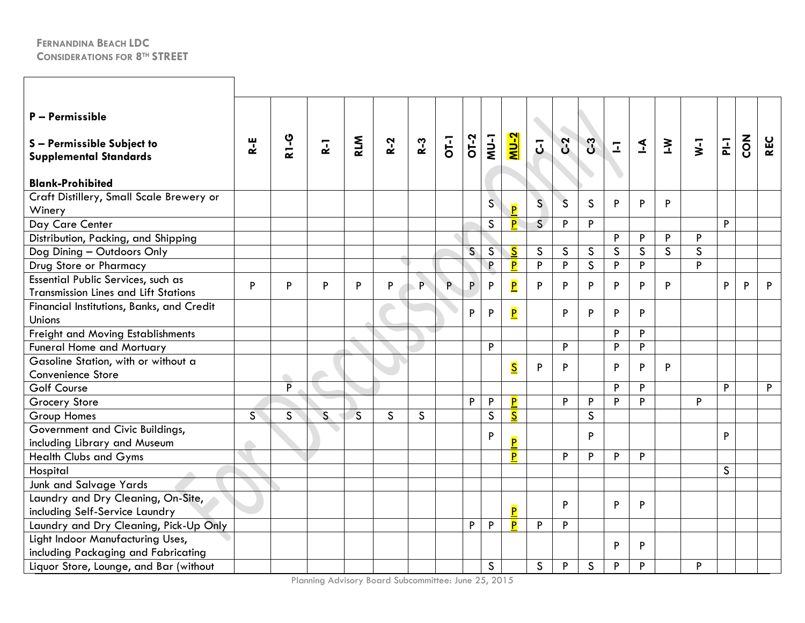| P - Permissible<br>S-Permissible Subject to<br><b>Supplemental Standards</b><br><b>Blank-Prohibited</b> | R-E | <b>2-13</b>              | $R-1$        | <b>RLM</b>   | $R-2$        | $R-3$ | OT-1 | OT-2         | <b>NU-1</b>  | <u>NU-2</u>             | $\overline{5}$ | $C-2$        | C <sub>3</sub> | $\overline{1}$ | $\mathbf{I}$ | $\geq$ | $\overline{\mathsf{v}}$ | $P\vdash$    | <b>ZON</b> | <b>REC</b>   |
|---------------------------------------------------------------------------------------------------------|-----|--------------------------|--------------|--------------|--------------|-------|------|--------------|--------------|-------------------------|----------------|--------------|----------------|----------------|--------------|--------|-------------------------|--------------|------------|--------------|
| Craft Distillery, Small Scale Brewery or<br>Winery                                                      |     |                          |              |              |              |       |      |              | $\mathsf{S}$ | $\overline{P}$          | S              | $\mathsf{S}$ | $\mathsf{S}$   | P              | P            | P      |                         |              |            |              |
| Day Care Center                                                                                         |     |                          |              |              |              |       |      |              | $\mathsf{S}$ | P.                      | $\overline{S}$ | P            | P              |                |              |        |                         | P            |            |              |
| Distribution, Packing, and Shipping                                                                     |     |                          |              |              |              |       |      |              |              |                         |                |              |                | P              | P            | P      | P                       |              |            |              |
| Dog Dining - Outdoors Only                                                                              |     |                          |              |              |              |       |      | $\mathsf{S}$ | $\mathsf{S}$ | $\overline{\mathsf{S}}$ | $\mathsf{S}$   | $\mathsf{S}$ | $\mathsf S$    | $\mathsf{S}$   | $\mathsf{S}$ | S      | S                       |              |            |              |
| Drug Store or Pharmacy                                                                                  |     |                          |              |              |              |       |      |              | P.           | P                       | P              | P            | $\mathsf{S}$   | P              | P            |        | P                       |              |            |              |
| Essential Public Services, such as<br><b>Transmission Lines and Lift Stations</b>                       | P   | P                        | P            | P            | P            | P     | P    | P            | P            | $\overline{\mathbf{P}}$ | P              | P            | P              | P              | P            | P      |                         | P            | P          | P            |
| Financial Institutions, Banks, and Credit<br>Unions                                                     |     |                          |              |              |              |       |      | P            | P            | $\overline{\mathbf{P}}$ |                | P            | P              | P              | P            |        |                         |              |            |              |
| <b>Freight and Moving Establishments</b>                                                                |     |                          |              |              |              |       |      |              |              |                         |                |              |                | P              | P            |        |                         |              |            |              |
| <b>Funeral Home and Mortuary</b>                                                                        |     |                          |              |              |              |       |      |              | P            |                         |                | P            |                | P              | P            |        |                         |              |            |              |
| Gasoline Station, with or without a<br>Convenience Store                                                |     | $\overline{\phantom{a}}$ |              |              |              |       |      |              |              | $\overline{\mathsf{S}}$ | P              | P            |                | P              | P            | P      |                         |              |            |              |
| <b>Golf Course</b>                                                                                      |     | $\overline{P}$           |              |              |              |       |      |              |              |                         |                |              |                | P              | P            |        |                         | P            |            | $\mathsf{P}$ |
| Grocery Store                                                                                           |     |                          |              |              |              |       |      | P            | P            | P                       |                | P            | P              | P              | P            |        | P                       |              |            |              |
| <b>Group Homes</b>                                                                                      | S   | S                        | $\mathsf{S}$ | $\mathsf{S}$ | $\mathsf{S}$ | S     |      |              | $\mathsf{S}$ | $\overline{\mathsf{S}}$ |                |              | $\mathsf{S}$   |                |              |        |                         |              |            |              |
| Government and Civic Buildings,<br>including Library and Museum                                         |     |                          |              |              |              |       |      |              | P            | $\overline{P}$          |                |              | P              |                |              |        |                         | P            |            |              |
| <b>Health Clubs and Gyms</b>                                                                            |     |                          |              |              |              |       |      |              |              | P                       |                | P            | P              | P              | P            |        |                         |              |            |              |
| Hospital                                                                                                |     |                          |              |              |              |       |      |              |              |                         |                |              |                |                |              |        |                         | $\mathsf{S}$ |            |              |
| <b>Junk and Salvage Yards</b>                                                                           |     |                          |              |              |              |       |      |              |              |                         |                |              |                |                |              |        |                         |              |            |              |
| Laundry and Dry Cleaning, On-Site,<br>including Self-Service Laundry                                    |     |                          |              |              |              |       |      |              |              | $\overline{\mathsf{P}}$ |                | P            |                | P              | P            |        |                         |              |            |              |
| Laundry and Dry Cleaning, Pick-Up Only                                                                  |     |                          |              |              |              |       |      | P            | P            | $\overline{\mathsf{P}}$ | P              | P            |                |                |              |        |                         |              |            |              |
| Light Indoor Manufacturing Uses,<br>including Packaging and Fabricating                                 |     |                          |              |              |              |       |      |              |              |                         |                |              |                | P              | P            |        |                         |              |            |              |
| Liquor Store, Lounge, and Bar (without                                                                  |     |                          |              |              |              |       |      |              | $\mathsf{S}$ |                         | $\mathsf S$    | P            | $\mathsf S$    | P              | P            |        | P                       |              |            |              |

Planning Advisory Board Subcommittee: June 25, 2015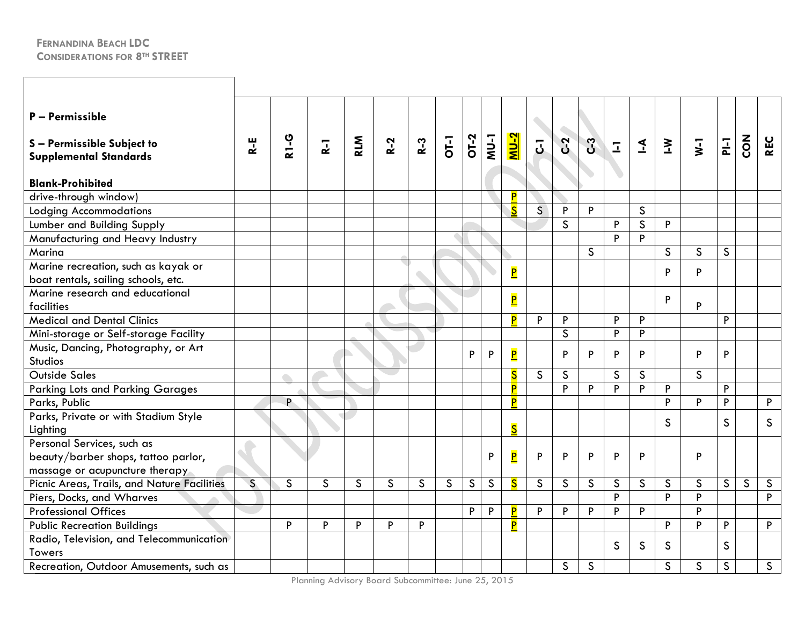| P - Permissible<br>S-Permissible Subject to<br><b>Supplemental Standards</b>                        | R-E                      | <b>2-13</b>        | $\overline{R}$ | <b>RLM</b>   | $R-2$        | $R-3$        | OT-1         | <b>OT-2</b>  | <b>I-NW</b>  | <u>NU-2</u>             | $\overline{5}$ | $C-2$        | C <sub>3</sub> | $\overline{1}$ | $\leq$                  | $\sum$       | $\overline{y}$ | $P\vdash$               | <b>ZON</b>              | <b>REC</b>   |
|-----------------------------------------------------------------------------------------------------|--------------------------|--------------------|----------------|--------------|--------------|--------------|--------------|--------------|--------------|-------------------------|----------------|--------------|----------------|----------------|-------------------------|--------------|----------------|-------------------------|-------------------------|--------------|
| <b>Blank-Prohibited</b>                                                                             |                          |                    |                |              |              |              |              |              |              |                         |                |              |                |                |                         |              |                |                         |                         |              |
| drive-through window)                                                                               |                          |                    |                |              |              |              |              |              |              | P                       |                |              |                |                |                         |              |                |                         |                         |              |
| <b>Lodging Accommodations</b>                                                                       |                          |                    |                |              |              |              |              |              |              | $\overline{\mathbf{S}}$ | $\mathsf{S}$   | P            | P              |                | $\mathsf{S}$            |              |                |                         |                         |              |
| Lumber and Building Supply                                                                          |                          |                    |                |              |              |              |              |              |              |                         |                | $\mathsf{S}$ |                | P              | $\overline{\mathsf{s}}$ | P            |                |                         |                         |              |
| Manufacturing and Heavy Industry                                                                    |                          |                    |                |              |              |              |              |              |              |                         |                |              |                | P              | P                       |              |                |                         |                         |              |
| Marina                                                                                              |                          |                    |                |              |              |              |              |              |              |                         |                |              | $\mathsf{S}$   |                |                         | $\mathsf{S}$ | $\mathsf{S}$   | $\mathsf{S}$            |                         |              |
| Marine recreation, such as kayak or<br>boat rentals, sailing schools, etc.                          |                          |                    |                |              |              |              |              |              |              | $\overline{\mathbf{P}}$ |                |              |                |                |                         | P            | P              |                         |                         |              |
| Marine research and educational                                                                     |                          |                    |                |              |              |              |              |              |              | $\overline{\mathbf{P}}$ |                |              |                |                |                         | P            |                |                         |                         |              |
| facilities                                                                                          |                          |                    |                |              |              |              |              |              |              |                         |                |              |                |                |                         |              | P              |                         |                         |              |
| <b>Medical and Dental Clinics</b>                                                                   |                          |                    |                |              |              |              |              |              |              | P                       | P              | P            |                | P              | P                       |              |                | P                       |                         |              |
| Mini-storage or Self-storage Facility                                                               |                          |                    |                |              |              |              |              |              |              |                         |                | $\mathsf{S}$ |                | P              | P                       |              |                |                         |                         |              |
| Music, Dancing, Photography, or Art                                                                 |                          |                    |                |              |              |              |              | P            | P            | $\overline{\mathbf{P}}$ |                | P            | P              | P              | P                       |              | P              | P                       |                         |              |
| <b>Studios</b>                                                                                      |                          |                    |                |              |              |              |              |              |              |                         |                |              |                |                |                         |              |                |                         |                         |              |
| Outside Sales                                                                                       |                          | $\curvearrowright$ |                |              |              |              |              |              |              | $\overline{\mathsf{S}}$ | $\mathsf{S}$   | $\mathsf{S}$ |                | S              | $\mathsf{S}$            |              | $\mathsf{S}$   |                         |                         |              |
| <b>Parking Lots and Parking Garages</b>                                                             |                          |                    |                |              |              |              |              |              |              | P                       |                | P            | P              | P              | P                       | P            |                | P                       |                         |              |
| Parks, Public                                                                                       |                          | P                  |                |              |              |              |              |              |              | P                       |                |              |                |                |                         | P            | P              | P                       |                         | P            |
| Parks, Private or with Stadium Style<br>Lighting                                                    |                          |                    |                |              |              |              |              |              |              | $\overline{\mathsf{S}}$ |                |              |                |                |                         | S            |                | S                       |                         | <sub>S</sub> |
| Personal Services, such as<br>beauty/barber shops, tattoo parlor,<br>massage or acupuncture therapy |                          |                    |                |              |              |              |              |              | P            | $\overline{\mathbf{P}}$ | P              | P            | P              | P              | P                       |              | P              |                         |                         |              |
| Picnic Areas, Trails, and Nature Facilities                                                         | $\overline{\mathcal{S}}$ | $\mathsf{S}$       | $\mathsf{S}$   | $\mathsf{S}$ | $\mathsf{S}$ | $\mathsf{S}$ | $\mathsf{S}$ | $\mathsf{S}$ | $\mathsf{S}$ | $\overline{\mathsf{s}}$ | $\mathsf{S}$   | $\mathsf{S}$ | $\mathsf{S}$   | $\mathsf{S}$   | $\mathsf{S}$            | $\mathsf{S}$ | S              | $\overline{\mathsf{s}}$ | $\overline{\mathsf{S}}$ | $\mathsf{S}$ |
| Piers, Docks, and Wharves                                                                           |                          |                    |                |              |              |              |              |              |              |                         |                |              |                | P              |                         | P            | P              |                         |                         | P            |
| <b>Professional Offices</b>                                                                         |                          |                    |                |              |              |              |              | P            | P            | P                       | P              | P            | P              | P              | P                       |              | P              |                         |                         |              |
| <b>Public Recreation Buildings</b>                                                                  |                          | P                  | P              | P            | P            | P            |              |              |              | $\overline{\mathbf{P}}$ |                |              |                |                |                         | P            | P              | P                       |                         | $\mathsf{P}$ |
| Radio, Television, and Telecommunication<br><b>Towers</b>                                           |                          |                    |                |              |              |              |              |              |              |                         |                |              |                | S              | S                       | S            |                | $\mathsf{S}$            |                         |              |
| Recreation, Outdoor Amusements, such as                                                             |                          |                    |                |              |              |              |              |              |              |                         |                | $\mathsf S$  | $\mathsf S$    |                |                         | $\mathsf S$  | $\mathsf S$    | $\mathsf{S}$            |                         | $\mathsf{S}$ |

Planning Advisory Board Subcommittee: June 25, 2015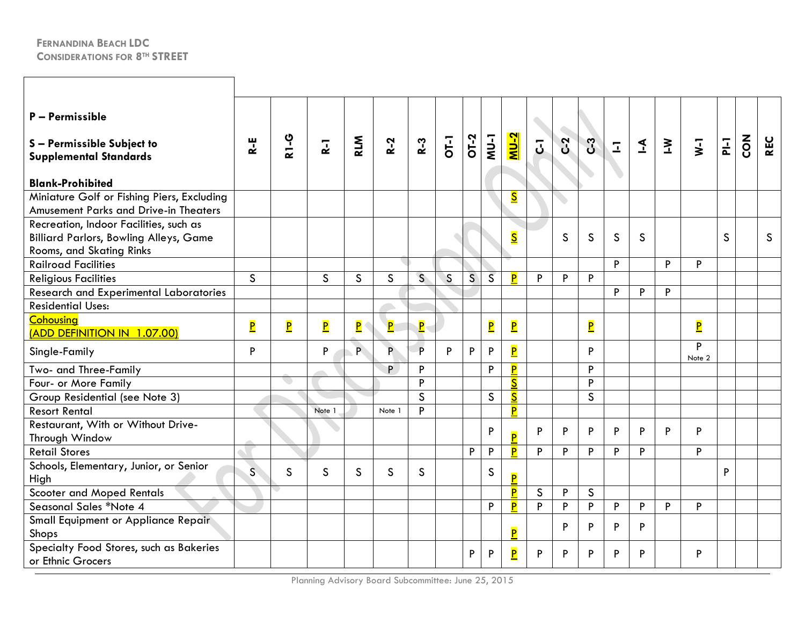| P - Permissible<br>S-Permissible Subject to<br><b>Supplemental Standards</b><br><b>Blank-Prohibited</b>             | R-E                     | <b>2-L8</b>                   | $\overline{a}$          | <b>RLM</b>                | $R-2$                   | $R-3$        | <b>OT-1</b>  | OT-2 | $NU-1$                  | $NU-2$                  | $\overline{5}$ | C <sub>2</sub> | C <sub>3</sub>          | $\overline{\mathbf{L}}$ | $\leq$ | $\geq$ | $\overline{\mathsf{v}}$ | $\overline{P}$ | $\sum_{i=1}^{n}$ | <b>REC</b>   |
|---------------------------------------------------------------------------------------------------------------------|-------------------------|-------------------------------|-------------------------|---------------------------|-------------------------|--------------|--------------|------|-------------------------|-------------------------|----------------|----------------|-------------------------|-------------------------|--------|--------|-------------------------|----------------|------------------|--------------|
| Miniature Golf or Fishing Piers, Excluding<br><b>Amusement Parks and Drive-in Theaters</b>                          |                         |                               |                         |                           |                         |              |              |      |                         | $\overline{\mathbf{S}}$ |                |                |                         |                         |        |        |                         |                |                  |              |
| Recreation, Indoor Facilities, such as<br><b>Billiard Parlors, Bowling Alleys, Game</b><br>Rooms, and Skating Rinks |                         |                               |                         |                           |                         |              |              |      |                         | $\overline{\mathbf{S}}$ |                | S              | $\mathsf{S}$            | $\mathsf{S}$            | S.     |        |                         | S              |                  | $\mathsf{S}$ |
| <b>Railroad Facilities</b>                                                                                          |                         |                               |                         |                           |                         |              |              |      |                         |                         |                |                |                         | P                       |        | P      | P                       |                |                  |              |
| <b>Religious Facilities</b>                                                                                         | S                       |                               | $\mathsf{S}$            | S                         | $\mathsf{S}$            | $\mathsf{S}$ | $\mathsf{S}$ | S    | $\overline{S}$          | P                       | P              | P              | P                       |                         |        |        |                         |                |                  |              |
| <b>Research and Experimental Laboratories</b>                                                                       |                         |                               |                         |                           |                         |              |              |      |                         |                         |                |                |                         | P                       | P      | P      |                         |                |                  |              |
| <b>Residential Uses:</b>                                                                                            |                         |                               |                         |                           |                         |              |              |      |                         |                         |                |                |                         |                         |        |        |                         |                |                  |              |
| <b>Cohousing</b><br>(ADD DEFINITION IN 1.07.00)                                                                     | $\overline{\mathbf{P}}$ | $\overline{\mathsf{P}}$       | $\overline{\mathbf{P}}$ | $\overline{\mathsf{P}}$ ( | $\overline{\mathbf{P}}$ | $\mathbf{P}$ |              |      | $\overline{\mathbf{P}}$ | $\overline{\mathbf{P}}$ |                |                | $\overline{\mathsf{P}}$ |                         |        |        | $\overline{\mathsf{P}}$ |                |                  |              |
| Single-Family                                                                                                       | P                       |                               | P                       | P.                        | P.                      | P            | P            | P    | P                       | $\overline{\mathsf{P}}$ |                |                | P                       |                         |        |        | P<br>Note 2             |                |                  |              |
| Two- and Three-Family                                                                                               |                         |                               |                         |                           | P                       | P            |              |      | P                       | P                       |                |                | P.                      |                         |        |        |                         |                |                  |              |
| Four- or More Family                                                                                                |                         | $\langle \, \cdot \, \rangle$ |                         |                           |                         | Þ            |              |      |                         | $\overline{\mathsf{s}}$ |                |                | P                       |                         |        |        |                         |                |                  |              |
| Group Residential (see Note 3)                                                                                      |                         |                               |                         |                           |                         | $\mathsf{S}$ |              |      | S                       | $\overline{\mathbf{S}}$ |                |                | $\mathsf{S}$            |                         |        |        |                         |                |                  |              |
| <b>Resort Rental</b>                                                                                                |                         |                               | Note 1                  |                           | Note 1                  | P            |              |      |                         | $\overline{\mathbf{P}}$ |                |                |                         |                         |        |        |                         |                |                  |              |
| Restaurant, With or Without Drive-<br>Through Window                                                                |                         |                               |                         |                           |                         |              |              |      | P                       | $\overline{P}$          | P              | P              | P.                      | P                       | P      | P      | P                       |                |                  |              |
| <b>Retail Stores</b>                                                                                                |                         |                               |                         |                           |                         |              |              | P    | $\mathsf{P}$            | P                       | P              | P              | P                       | P                       | P      |        | P                       |                |                  |              |
| Schools, Elementary, Junior, or Senior<br>High                                                                      | $\overline{\mathsf{S}}$ | $\mathsf{S}$                  | S                       | S                         | <sub>S</sub>            | <sub>S</sub> |              |      | $\mathsf{S}$            | $\overline{\mathsf{P}}$ |                |                |                         |                         |        |        |                         | P              |                  |              |
| <b>Scooter and Moped Rentals</b>                                                                                    |                         |                               |                         |                           |                         |              |              |      |                         | P                       | $\mathsf{S}$   | P              | $\mathsf{S}$            |                         |        |        |                         |                |                  |              |
| Seasonal Sales *Note 4                                                                                              |                         |                               |                         |                           |                         |              |              |      | P                       | P                       | P              | P              | P                       | P                       | P      | P      | P                       |                |                  |              |
| <b>Small Equipment or Appliance Repair</b><br>Shops                                                                 |                         |                               |                         |                           |                         |              |              |      |                         | P                       |                | P              | P                       | P                       | P      |        |                         |                |                  |              |
| Specialty Food Stores, such as Bakeries<br>or Ethnic Grocers                                                        |                         |                               |                         |                           |                         |              |              | P    | P                       | $\overline{\mathbf{P}}$ | P              | P              | P.                      | P                       | P      |        | P                       |                |                  |              |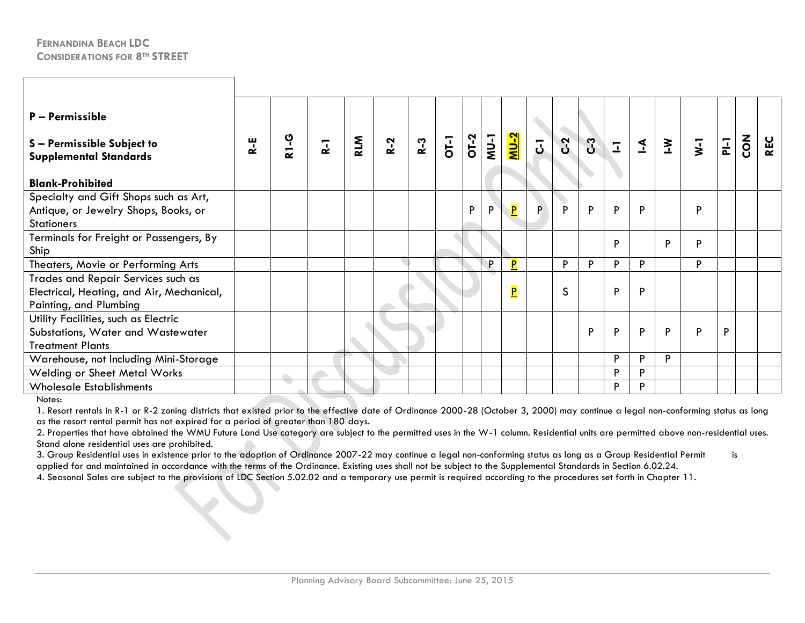| $P - Permissible$<br>S - Permissible Subject to<br><b>Supplemental Standards</b><br><b>Blank-Prohibited</b> | $R - E$ | <b>2-18</b> | $\overline{a}$ | <b>RLM</b> | $R-2$ | $R-3$ | $\overline{0}$ | OT-2 | $\frac{1}{2}$ | $\frac{N-2}{2}$         | $\overline{5}$ | $C-2$        | $\mathfrak{S}$ | $\overline{1}$ | $\mathbf{I}$ | $\geq$ | $\overline{\mathbf{y}}$ | $\overline{a}$ | <b>ZON</b> | <b>REC</b> |
|-------------------------------------------------------------------------------------------------------------|---------|-------------|----------------|------------|-------|-------|----------------|------|---------------|-------------------------|----------------|--------------|----------------|----------------|--------------|--------|-------------------------|----------------|------------|------------|
|                                                                                                             |         |             |                |            |       |       |                |      |               |                         |                |              |                |                |              |        |                         |                |            |            |
| Specialty and Gift Shops such as Art,<br>Antique, or Jewelry Shops, Books, or<br><b>Stationers</b>          |         |             |                |            |       |       |                | P    | P             | $\overline{\mathbf{P}}$ | P.             | P            | P              | P              | P            |        | P                       |                |            |            |
| Terminals for Freight or Passengers, By<br>Ship                                                             |         |             |                |            |       |       |                |      |               |                         |                |              |                | P              |              | P      | P                       |                |            |            |
| Theaters, Movie or Performing Arts                                                                          |         |             |                |            |       |       |                |      | P.            | P                       |                | P            | P              | P              | P            |        | P                       |                |            |            |
| Trades and Repair Services such as<br>Electrical, Heating, and Air, Mechanical,<br>Painting, and Plumbing   |         |             |                |            |       |       |                |      |               | $\overline{\mathbf{P}}$ |                | $\mathsf{S}$ |                | P              | P            |        |                         |                |            |            |
| Utility Facilities, such as Electric<br>Substations, Water and Wastewater<br><b>Treatment Plants</b>        |         |             |                |            |       |       |                |      |               |                         |                |              | P              | P              | P            | P      | P                       | P              |            |            |
| Warehouse, not Including Mini-Storage                                                                       |         |             |                |            |       |       |                |      |               |                         |                |              |                | P              | P            | P      |                         |                |            |            |
| Welding or Sheet Metal Works                                                                                |         |             |                |            |       |       |                |      |               |                         |                |              |                | P              | D            |        |                         |                |            |            |
| <b>Wholesale Establishments</b>                                                                             |         |             |                |            |       |       |                |      |               |                         |                |              |                | D              | D            |        |                         |                |            |            |

Notes:

1. Resort rentals in R-1 or R-2 zoning districts that existed prior to the effective date of Ordinance 2000-28 (October 3, 2000) may continue a legal non-conforming status as long as the resort rental permit has not expired for a period of greater than 180 days.

2. Properties that have obtained the WMU Future Land Use category are subject to the permitted uses in the W-1 column. Residential units are permitted above non-residential uses. Stand alone residential uses are prohibited.

3. Group Residential uses in existence prior to the adoption of Ordinance 2007-22 may continue a legal non-conforming status as long as a Group Residential Permit is applied for and maintained in accordance with the terms of the Ordinance. Existing uses shall not be subject to the Supplemental Standards in Section 6.02.24.

4. Seasonal Sales are subject to the provisions of LDC Section 5.02.02 and a temporary use permit is required according to the procedures set forth in Chapter 11.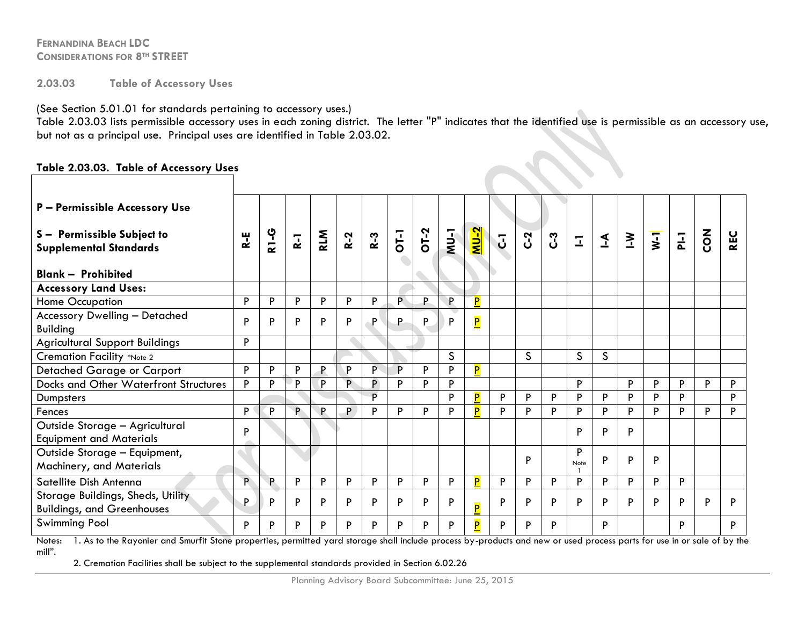**2.03.03 Table of Accessory Uses** 

(See Section 5.01.01 for standards pertaining to accessory uses.)

Table 2.03.03 lists permissible accessory uses in each zoning district. The letter "P" indicates that the identified use is permissible as an accessory use, but not as a principal use. Principal uses are identified in Table 2.03.02.

#### **Table 2.03.03. Table of Accessory Uses**

| P - Permissible Accessory Use                                          |              |             |       |              |       |       |                |      |        |                         |                |                |    |              |              |        |                         |   |                |            |
|------------------------------------------------------------------------|--------------|-------------|-------|--------------|-------|-------|----------------|------|--------|-------------------------|----------------|----------------|----|--------------|--------------|--------|-------------------------|---|----------------|------------|
| S - Permissible Subject to<br><b>Supplemental Standards</b>            | $\mathbf{k}$ | <b>2-13</b> | $R-1$ | <b>RLM</b>   | $R-2$ | $R-3$ | $\overline{O}$ | OT-2 | $NU-1$ | <u> 2-UM</u>            | $\overline{J}$ | C <sub>2</sub> | ပိ | $\mathbb{Z}$ | $\mathbf{A}$ | $\sum$ | $\overline{\mathbf{y}}$ | 군 | $\overline{a}$ | <b>REC</b> |
| <b>Blank - Prohibited</b>                                              |              |             |       |              |       |       |                |      |        |                         |                |                |    |              |              |        |                         |   |                |            |
| <b>Accessory Land Uses:</b>                                            |              |             |       |              |       |       |                |      |        |                         |                |                |    |              |              |        |                         |   |                |            |
| Home Occupation                                                        | P            | P           | P     | P            | P     | P.    | P.             | P.   | P      | P                       |                |                |    |              |              |        |                         |   |                |            |
| <b>Accessory Dwelling - Detached</b><br><b>Building</b>                | P            | P           | Þ     | P            | P     | P     | P              | P    | P      | $\overline{\mathsf{P}}$ |                |                |    |              |              |        |                         |   |                |            |
| <b>Agricultural Support Buildings</b>                                  | Þ            |             |       |              |       |       |                |      |        |                         |                |                |    |              |              |        |                         |   |                |            |
| <b>Cremation Facility *Note 2</b>                                      |              |             |       |              |       |       |                |      | S      |                         |                | $\mathsf{S}$   |    | S.           | S            |        |                         |   |                |            |
| Detached Garage or Carport                                             | P            | P           | Þ     | $\mathsf{P}$ | P     | Þ.    | P              | P    | P      | P                       |                |                |    |              |              |        |                         |   |                |            |
| <b>Docks and Other Waterfront Structures</b>                           | P            | P           | D     | Þ            | P     | P.    | P              | Þ    | P      |                         |                |                |    | P            |              | P      | Þ                       | P | Þ              | P          |
| Dumpsters                                                              |              |             |       |              |       | Þ     |                |      | D      | P                       | P              | P              | Þ  | P            | P            | Þ      | Þ                       | P |                | P          |
| Fences                                                                 | P            | P           | P     | P            | P     | Þ     | P              | P    | Þ      | P                       | P              | P              | Þ  | P            | P            | Þ      | Þ                       | P | Þ              | P          |
| Outside Storage - Agricultural<br><b>Equipment and Materials</b>       | P            |             |       |              |       |       |                |      |        |                         |                |                |    | P            | P            | P      |                         |   |                |            |
| Outside Storage - Equipment,<br>Machinery, and Materials               |              |             |       |              |       |       |                |      |        |                         |                | P              |    | P<br>Note    | P            | P      | P                       |   |                |            |
| Satellite Dish Antenna                                                 | D            | P.          | P     | P            | P     | P     | P              | P    | P      | P                       | P              | P              | P  | P            | P            | P      | P                       | P |                |            |
| Storage Buildings, Sheds, Utility<br><b>Buildings, and Greenhouses</b> | P            | P           | Þ     | P            | P     | Þ     | P              | P    | P      | P                       | P              | P              | Þ  | P            | P            | P      | P                       | P | D              | D          |
| <b>Swimming Pool</b>                                                   | P            | P           | P     | P            | P     | P     | P              | P    | P      | P                       | P              | P              | P  |              | P            |        |                         | P |                | P          |

Notes: 1. As to the Rayonier and Smurfit Stone properties, permitted yard storage shall include process by-products and new or used process parts for use in or sale of by the mill".

2. Cremation Facilities shall be subject to the supplemental standards provided in Section 6.02.26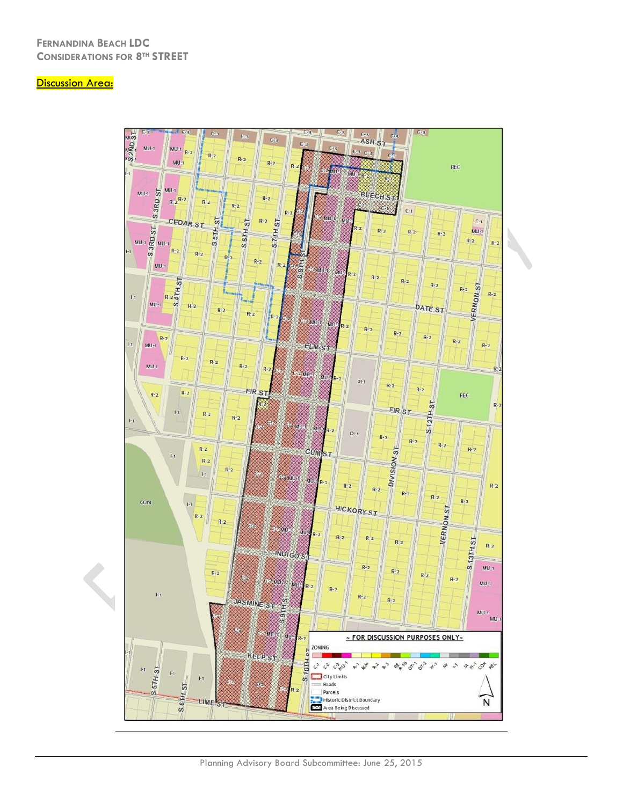#### **Discussion Area:**